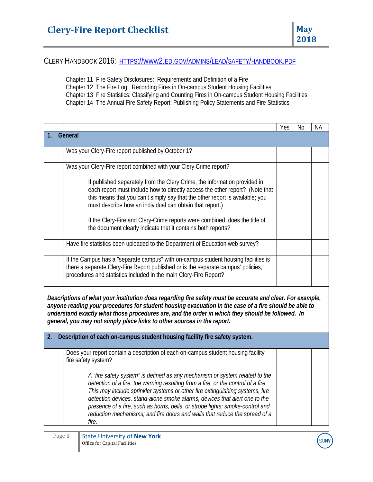CLERY HANDBOOK 2016: [HTTPS://WWW2.ED.GOV/ADMINS/LEAD/SAFETY/HANDBOOK.PDF](https://www2.ed.gov/admins/lead/safety/handbook.pdf)

Chapter 11 Fire Safety Disclosures: Requirements and Definition of a Fire

Chapter 12 The Fire Log: Recording Fires in On-campus Student Housing Facilities

Chapter 13 Fire Statistics: Classifying and Counting Fires in On-campus Student Housing Facilities

Chapter 14 The Annual Fire Safety Report: Publishing Policy Statements and Fire Statistics

|                                                                                                                                                                                                                                                                                                                                                                                                   |                                                                                                                                                                                                                                                                                                                                                                                                                                                                                                        | Yes | N <sub>0</sub> | <b>NA</b> |  |
|---------------------------------------------------------------------------------------------------------------------------------------------------------------------------------------------------------------------------------------------------------------------------------------------------------------------------------------------------------------------------------------------------|--------------------------------------------------------------------------------------------------------------------------------------------------------------------------------------------------------------------------------------------------------------------------------------------------------------------------------------------------------------------------------------------------------------------------------------------------------------------------------------------------------|-----|----------------|-----------|--|
| General<br>1.                                                                                                                                                                                                                                                                                                                                                                                     |                                                                                                                                                                                                                                                                                                                                                                                                                                                                                                        |     |                |           |  |
|                                                                                                                                                                                                                                                                                                                                                                                                   | Was your Clery-Fire report published by October 1?                                                                                                                                                                                                                                                                                                                                                                                                                                                     |     |                |           |  |
|                                                                                                                                                                                                                                                                                                                                                                                                   | Was your Clery-Fire report combined with your Clery Crime report?                                                                                                                                                                                                                                                                                                                                                                                                                                      |     |                |           |  |
|                                                                                                                                                                                                                                                                                                                                                                                                   | If published separately from the Clery Crime, the information provided in<br>each report must include how to directly access the other report? (Note that<br>this means that you can't simply say that the other report is available; you<br>must describe how an individual can obtain that report.)                                                                                                                                                                                                  |     |                |           |  |
|                                                                                                                                                                                                                                                                                                                                                                                                   | If the Clery-Fire and Clery-Crime reports were combined, does the title of<br>the document clearly indicate that it contains both reports?                                                                                                                                                                                                                                                                                                                                                             |     |                |           |  |
|                                                                                                                                                                                                                                                                                                                                                                                                   | Have fire statistics been uploaded to the Department of Education web survey?                                                                                                                                                                                                                                                                                                                                                                                                                          |     |                |           |  |
|                                                                                                                                                                                                                                                                                                                                                                                                   | If the Campus has a "separate campus" with on-campus student housing facilities is<br>there a separate Clery-Fire Report published or is the separate campus' policies,<br>procedures and statistics included in the main Clery-Fire Report?                                                                                                                                                                                                                                                           |     |                |           |  |
| Descriptions of what your institution does regarding fire safety must be accurate and clear. For example,<br>anyone reading your procedures for student housing evacuation in the case of a fire should be able to<br>understand exactly what those procedures are, and the order in which they should be followed. In<br>general, you may not simply place links to other sources in the report. |                                                                                                                                                                                                                                                                                                                                                                                                                                                                                                        |     |                |           |  |
| 2.                                                                                                                                                                                                                                                                                                                                                                                                | Description of each on-campus student housing facility fire safety system.                                                                                                                                                                                                                                                                                                                                                                                                                             |     |                |           |  |
|                                                                                                                                                                                                                                                                                                                                                                                                   | Does your report contain a description of each on-campus student housing facility<br>fire safety system?                                                                                                                                                                                                                                                                                                                                                                                               |     |                |           |  |
|                                                                                                                                                                                                                                                                                                                                                                                                   | A "fire safety system" is defined as any mechanism or system related to the<br>detection of a fire, the warning resulting from a fire, or the control of a fire.<br>This may include sprinkler systems or other fire extinguishing systems, fire<br>detection devices, stand-alone smoke alarms, devices that alert one to the<br>presence of a fire, such as horns, bells, or strobe lights; smoke-control and<br>reduction mechanisms; and fire doors and walls that reduce the spread of a<br>fire. |     |                |           |  |

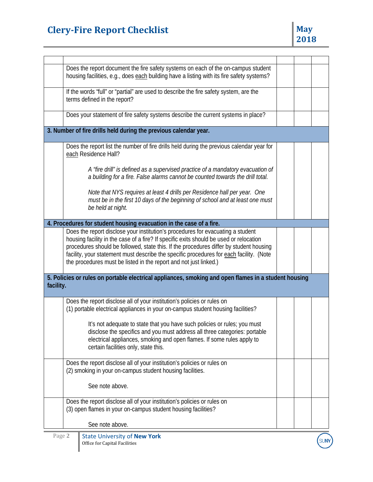## **Clery-Fire Report Checklist May May May**

| Does the report document the fire safety systems on each of the on-campus student<br>housing facilities, e.g., does each building have a listing with its fire safety systems?<br>If the words "full" or "partial" are used to describe the fire safety system, are the<br>terms defined in the report?<br>Does your statement of fire safety systems describe the current systems in place?<br>3. Number of fire drills held during the previous calendar year.<br>Does the report list the number of fire drills held during the previous calendar year for<br>each Residence Hall?<br>A "fire drill" is defined as a supervised practice of a mandatory evacuation of<br>a building for a fire. False alarms cannot be counted towards the drill total.<br>Note that NYS requires at least 4 drills per Residence hall per year. One<br>must be in the first 10 days of the beginning of school and at least one must<br>be held at night.<br>4. Procedures for student housing evacuation in the case of a fire.<br>Does the report disclose your institution's procedures for evacuating a student<br>housing facility in the case of a fire? If specific exits should be used or relocation<br>procedures should be followed, state this. If the procedures differ by student housing<br>facility, your statement must describe the specific procedures for each facility. (Note<br>the procedures must be listed in the report and not just linked.)<br>5. Policies or rules on portable electrical appliances, smoking and open flames in a student housing<br>facility.<br>Does the report disclose all of your institution's policies or rules on<br>(1) portable electrical appliances in your on-campus student housing facilities?<br>It's not adequate to state that you have such policies or rules; you must<br>disclose the specifics and you must address all three categories: portable<br>electrical appliances, smoking and open flames. If some rules apply to<br>certain facilities only, state this.<br>Does the report disclose all of your institution's policies or rules on<br>(2) smoking in your on-campus student housing facilities.<br>See note above.<br>Does the report disclose all of your institution's policies or rules on<br>(3) open flames in your on-campus student housing facilities?<br>See note above. |  |  |  |  |  |
|--------------------------------------------------------------------------------------------------------------------------------------------------------------------------------------------------------------------------------------------------------------------------------------------------------------------------------------------------------------------------------------------------------------------------------------------------------------------------------------------------------------------------------------------------------------------------------------------------------------------------------------------------------------------------------------------------------------------------------------------------------------------------------------------------------------------------------------------------------------------------------------------------------------------------------------------------------------------------------------------------------------------------------------------------------------------------------------------------------------------------------------------------------------------------------------------------------------------------------------------------------------------------------------------------------------------------------------------------------------------------------------------------------------------------------------------------------------------------------------------------------------------------------------------------------------------------------------------------------------------------------------------------------------------------------------------------------------------------------------------------------------------------------------------------------------------------------------------------------------------------------------------------------------------------------------------------------------------------------------------------------------------------------------------------------------------------------------------------------------------------------------------------------------------------------------------------------------------------------------------------------------------------------------------------------------------------------------------------------|--|--|--|--|--|
|                                                                                                                                                                                                                                                                                                                                                                                                                                                                                                                                                                                                                                                                                                                                                                                                                                                                                                                                                                                                                                                                                                                                                                                                                                                                                                                                                                                                                                                                                                                                                                                                                                                                                                                                                                                                                                                                                                                                                                                                                                                                                                                                                                                                                                                                                                                                                        |  |  |  |  |  |
|                                                                                                                                                                                                                                                                                                                                                                                                                                                                                                                                                                                                                                                                                                                                                                                                                                                                                                                                                                                                                                                                                                                                                                                                                                                                                                                                                                                                                                                                                                                                                                                                                                                                                                                                                                                                                                                                                                                                                                                                                                                                                                                                                                                                                                                                                                                                                        |  |  |  |  |  |
|                                                                                                                                                                                                                                                                                                                                                                                                                                                                                                                                                                                                                                                                                                                                                                                                                                                                                                                                                                                                                                                                                                                                                                                                                                                                                                                                                                                                                                                                                                                                                                                                                                                                                                                                                                                                                                                                                                                                                                                                                                                                                                                                                                                                                                                                                                                                                        |  |  |  |  |  |
|                                                                                                                                                                                                                                                                                                                                                                                                                                                                                                                                                                                                                                                                                                                                                                                                                                                                                                                                                                                                                                                                                                                                                                                                                                                                                                                                                                                                                                                                                                                                                                                                                                                                                                                                                                                                                                                                                                                                                                                                                                                                                                                                                                                                                                                                                                                                                        |  |  |  |  |  |
|                                                                                                                                                                                                                                                                                                                                                                                                                                                                                                                                                                                                                                                                                                                                                                                                                                                                                                                                                                                                                                                                                                                                                                                                                                                                                                                                                                                                                                                                                                                                                                                                                                                                                                                                                                                                                                                                                                                                                                                                                                                                                                                                                                                                                                                                                                                                                        |  |  |  |  |  |
|                                                                                                                                                                                                                                                                                                                                                                                                                                                                                                                                                                                                                                                                                                                                                                                                                                                                                                                                                                                                                                                                                                                                                                                                                                                                                                                                                                                                                                                                                                                                                                                                                                                                                                                                                                                                                                                                                                                                                                                                                                                                                                                                                                                                                                                                                                                                                        |  |  |  |  |  |
|                                                                                                                                                                                                                                                                                                                                                                                                                                                                                                                                                                                                                                                                                                                                                                                                                                                                                                                                                                                                                                                                                                                                                                                                                                                                                                                                                                                                                                                                                                                                                                                                                                                                                                                                                                                                                                                                                                                                                                                                                                                                                                                                                                                                                                                                                                                                                        |  |  |  |  |  |
|                                                                                                                                                                                                                                                                                                                                                                                                                                                                                                                                                                                                                                                                                                                                                                                                                                                                                                                                                                                                                                                                                                                                                                                                                                                                                                                                                                                                                                                                                                                                                                                                                                                                                                                                                                                                                                                                                                                                                                                                                                                                                                                                                                                                                                                                                                                                                        |  |  |  |  |  |
|                                                                                                                                                                                                                                                                                                                                                                                                                                                                                                                                                                                                                                                                                                                                                                                                                                                                                                                                                                                                                                                                                                                                                                                                                                                                                                                                                                                                                                                                                                                                                                                                                                                                                                                                                                                                                                                                                                                                                                                                                                                                                                                                                                                                                                                                                                                                                        |  |  |  |  |  |
|                                                                                                                                                                                                                                                                                                                                                                                                                                                                                                                                                                                                                                                                                                                                                                                                                                                                                                                                                                                                                                                                                                                                                                                                                                                                                                                                                                                                                                                                                                                                                                                                                                                                                                                                                                                                                                                                                                                                                                                                                                                                                                                                                                                                                                                                                                                                                        |  |  |  |  |  |
|                                                                                                                                                                                                                                                                                                                                                                                                                                                                                                                                                                                                                                                                                                                                                                                                                                                                                                                                                                                                                                                                                                                                                                                                                                                                                                                                                                                                                                                                                                                                                                                                                                                                                                                                                                                                                                                                                                                                                                                                                                                                                                                                                                                                                                                                                                                                                        |  |  |  |  |  |
|                                                                                                                                                                                                                                                                                                                                                                                                                                                                                                                                                                                                                                                                                                                                                                                                                                                                                                                                                                                                                                                                                                                                                                                                                                                                                                                                                                                                                                                                                                                                                                                                                                                                                                                                                                                                                                                                                                                                                                                                                                                                                                                                                                                                                                                                                                                                                        |  |  |  |  |  |
|                                                                                                                                                                                                                                                                                                                                                                                                                                                                                                                                                                                                                                                                                                                                                                                                                                                                                                                                                                                                                                                                                                                                                                                                                                                                                                                                                                                                                                                                                                                                                                                                                                                                                                                                                                                                                                                                                                                                                                                                                                                                                                                                                                                                                                                                                                                                                        |  |  |  |  |  |
|                                                                                                                                                                                                                                                                                                                                                                                                                                                                                                                                                                                                                                                                                                                                                                                                                                                                                                                                                                                                                                                                                                                                                                                                                                                                                                                                                                                                                                                                                                                                                                                                                                                                                                                                                                                                                                                                                                                                                                                                                                                                                                                                                                                                                                                                                                                                                        |  |  |  |  |  |
|                                                                                                                                                                                                                                                                                                                                                                                                                                                                                                                                                                                                                                                                                                                                                                                                                                                                                                                                                                                                                                                                                                                                                                                                                                                                                                                                                                                                                                                                                                                                                                                                                                                                                                                                                                                                                                                                                                                                                                                                                                                                                                                                                                                                                                                                                                                                                        |  |  |  |  |  |
|                                                                                                                                                                                                                                                                                                                                                                                                                                                                                                                                                                                                                                                                                                                                                                                                                                                                                                                                                                                                                                                                                                                                                                                                                                                                                                                                                                                                                                                                                                                                                                                                                                                                                                                                                                                                                                                                                                                                                                                                                                                                                                                                                                                                                                                                                                                                                        |  |  |  |  |  |

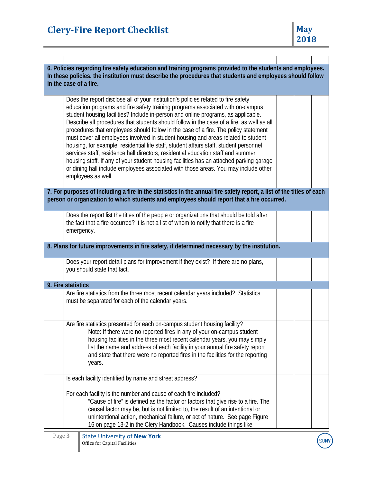## **Clery-Fire Report Checklist May May May**

| 6. Policies regarding fire safety education and training programs provided to the students and employees.<br>In these policies, the institution must describe the procedures that students and employees should follow<br>in the case of a fire. |                                                                                                                                                                                                                                                                                                                                                                                                                                                                                                                                                                                                                                                                                                                                                                                                                                                                                                                          |  |  |  |  |
|--------------------------------------------------------------------------------------------------------------------------------------------------------------------------------------------------------------------------------------------------|--------------------------------------------------------------------------------------------------------------------------------------------------------------------------------------------------------------------------------------------------------------------------------------------------------------------------------------------------------------------------------------------------------------------------------------------------------------------------------------------------------------------------------------------------------------------------------------------------------------------------------------------------------------------------------------------------------------------------------------------------------------------------------------------------------------------------------------------------------------------------------------------------------------------------|--|--|--|--|
|                                                                                                                                                                                                                                                  | Does the report disclose all of your institution's policies related to fire safety<br>education programs and fire safety training programs associated with on-campus<br>student housing facilities? Include in-person and online programs, as applicable.<br>Describe all procedures that students should follow in the case of a fire, as well as all<br>procedures that employees should follow in the case of a fire. The policy statement<br>must cover all employees involved in student housing and areas related to student<br>housing, for example, residential life staff, student affairs staff, student personnel<br>services staff, residence hall directors, residential education staff and summer<br>housing staff. If any of your student housing facilities has an attached parking garage<br>or dining hall include employees associated with those areas. You may include other<br>employees as well. |  |  |  |  |
|                                                                                                                                                                                                                                                  | 7. For purposes of including a fire in the statistics in the annual fire safety report, a list of the titles of each<br>person or organization to which students and employees should report that a fire occurred.                                                                                                                                                                                                                                                                                                                                                                                                                                                                                                                                                                                                                                                                                                       |  |  |  |  |
|                                                                                                                                                                                                                                                  | Does the report list the titles of the people or organizations that should be told after<br>the fact that a fire occurred? It is not a list of whom to notify that there is a fire<br>emergency.                                                                                                                                                                                                                                                                                                                                                                                                                                                                                                                                                                                                                                                                                                                         |  |  |  |  |
|                                                                                                                                                                                                                                                  | 8. Plans for future improvements in fire safety, if determined necessary by the institution.                                                                                                                                                                                                                                                                                                                                                                                                                                                                                                                                                                                                                                                                                                                                                                                                                             |  |  |  |  |
|                                                                                                                                                                                                                                                  | Does your report detail plans for improvement if they exist? If there are no plans,<br>you should state that fact.                                                                                                                                                                                                                                                                                                                                                                                                                                                                                                                                                                                                                                                                                                                                                                                                       |  |  |  |  |
|                                                                                                                                                                                                                                                  | 9. Fire statistics                                                                                                                                                                                                                                                                                                                                                                                                                                                                                                                                                                                                                                                                                                                                                                                                                                                                                                       |  |  |  |  |
|                                                                                                                                                                                                                                                  | Are fire statistics from the three most recent calendar years included? Statistics<br>must be separated for each of the calendar years.                                                                                                                                                                                                                                                                                                                                                                                                                                                                                                                                                                                                                                                                                                                                                                                  |  |  |  |  |
|                                                                                                                                                                                                                                                  | Are fire statistics presented for each on-campus student housing facility?<br>Note: If there were no reported fires in any of your on-campus student<br>housing facilities in the three most recent calendar years, you may simply<br>list the name and address of each facility in your annual fire safety report<br>and state that there were no reported fires in the facilities for the reporting<br>years.                                                                                                                                                                                                                                                                                                                                                                                                                                                                                                          |  |  |  |  |
|                                                                                                                                                                                                                                                  | Is each facility identified by name and street address?                                                                                                                                                                                                                                                                                                                                                                                                                                                                                                                                                                                                                                                                                                                                                                                                                                                                  |  |  |  |  |
|                                                                                                                                                                                                                                                  | For each facility is the number and cause of each fire included?<br>"Cause of fire" is defined as the factor or factors that give rise to a fire. The<br>causal factor may be, but is not limited to, the result of an intentional or<br>unintentional action, mechanical failure, or act of nature. See page Figure<br>16 on page 13-2 in the Clery Handbook. Causes include things like                                                                                                                                                                                                                                                                                                                                                                                                                                                                                                                                |  |  |  |  |